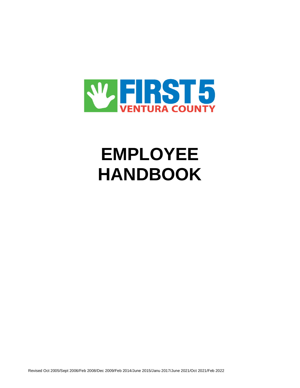

# **EMPLOYEE HANDBOOK**

Revised Oct 2005/Sept 2006/Feb 2008/Dec 2009/Feb 2014/June 2015/Janu 2017/June 2021/Oct 2021/Feb 2022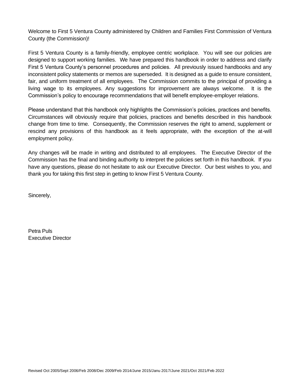Welcome to First 5 Ventura County administered by Children and Families First Commission of Ventura County (the Commission)!

First 5 Ventura County is a family-friendly, employee centric workplace. You will see our policies are designed to support working families. We have prepared this handbook in order to address and clarify First 5 Ventura County's personnel procedures and policies. All previously issued handbooks and any inconsistent policy statements or memos are superseded. It is designed as a guide to ensure consistent, fair, and uniform treatment of all employees. The Commission commits to the principal of providing a living wage to its employees. Any suggestions for improvement are always welcome. It is the Commission's policy to encourage recommendations that will benefit employee-employer relations.

Please understand that this handbook only highlights the Commission's policies, practices and benefits. Circumstances will obviously require that policies, practices and benefits described in this handbook change from time to time. Consequently, the Commission reserves the right to amend, supplement or rescind any provisions of this handbook as it feels appropriate, with the exception of the at-will employment policy.

Any changes will be made in writing and distributed to all employees. The Executive Director of the Commission has the final and binding authority to interpret the policies set forth in this handbook. If you have any questions, please do not hesitate to ask our Executive Director. Our best wishes to you, and thank you for taking this first step in getting to know First 5 Ventura County.

Sincerely,

Petra Puls Executive Director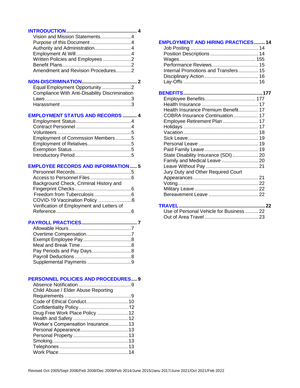| Vision and Mission Statements4     |  |
|------------------------------------|--|
| Purpose of this Document4          |  |
| Authority and Administration4      |  |
|                                    |  |
| Written Policies and Employees 2   |  |
|                                    |  |
| Amendment and Revision Procedures2 |  |
|                                    |  |

# **NON-DISCRIMINATION....................................... 2**

| Equal Employment Opportunity2                  |  |
|------------------------------------------------|--|
| Compliance With Anti-Disability Discrimination |  |
|                                                |  |
|                                                |  |

#### **EMPLOYMENT STATUS AND RECORDS .......... 4**

| Employment of Commssion Members5 |  |
|----------------------------------|--|
|                                  |  |
|                                  |  |
|                                  |  |

#### **EMPLOYEE RECORDS AND INFORMATION..... 5**

| Background Check, Criminal History and    |  |
|-------------------------------------------|--|
|                                           |  |
|                                           |  |
| COVID-19 Vaccination Policy 6             |  |
| Verification of Employment and Letters of |  |
|                                           |  |
|                                           |  |

# **PAYROLL PRACTICES....................................... 7**

| Pay Periods and Pay Days8 |  |
|---------------------------|--|
|                           |  |
|                           |  |

# **PERSONNEL POLICIES AND PROCEDURES.... 9**

| Child Abuse / Elder Abuse Reporting |  |
|-------------------------------------|--|
|                                     |  |
|                                     |  |
|                                     |  |
| Drug Free Work Place Policy 12      |  |
|                                     |  |
| Worker's Compensation Insurance13   |  |
|                                     |  |
|                                     |  |
|                                     |  |
|                                     |  |
|                                     |  |

| <b>EMPLOYMENT AND HIRING PRACTICES14</b> |  |
|------------------------------------------|--|
|                                          |  |
|                                          |  |
|                                          |  |
| Performance Reviews 15                   |  |
| Internal Promotions and Transfers 15     |  |
|                                          |  |
|                                          |  |
|                                          |  |
|                                          |  |
|                                          |  |
|                                          |  |
|                                          |  |
| Health Insurance Premium Benefit 17      |  |
| COBRA Insurance Continuation 17          |  |
| Employee Retirement Plan  17             |  |
|                                          |  |
|                                          |  |
|                                          |  |
|                                          |  |
|                                          |  |
| State Disability Insurance (SDI)  20     |  |
| Family and Medical Leave  20             |  |
|                                          |  |
| Jury Duty and Other Required Court       |  |
|                                          |  |
|                                          |  |
|                                          |  |
|                                          |  |
|                                          |  |
|                                          |  |
|                                          |  |

| Use of Personal Vehicle for Business  22 |  |
|------------------------------------------|--|
|                                          |  |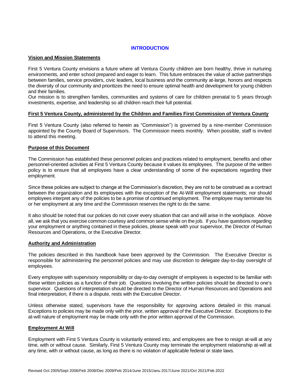# **INTRODUCTION**

#### **Vision and Mission Statements**

First 5 Ventura County envisions a future where all Ventura County children are born healthy, thrive in nurturing environments, and enter school prepared and eager to learn. This future embraces the value of active partnerships between families, service providers, civic leaders, local business and the community at-large, honors and respects the diversity of our community and prioritizes the need to ensure optimal health and development for young children and their families.

Our mission is to strengthen families, communities and systems of care for children prenatal to 5 years through investments, expertise, and leadership so all children reach their full potential.

#### **First 5 Ventura County, administered by the Children and Families First Commission of Ventura County**

First 5 Ventura County (also referred to herein as "Commission") is governed by a nine-member Commission appointed by the County Board of Supervisors. The Commission meets monthly. When possible, staff is invited to attend this meeting.

#### **Purpose of this Document**

The Commission has established these personnel policies and practices related to employment, benefits and other personnel-oriented activities at First 5 Ventura County because it values its employees. The purpose of the written policy is to ensure that all employees have a clear understanding of some of the expectations regarding their employment.

Since these policies are subject to change at the Commission's discretion, they are not to be construed as a contract between the organization and its employees with the exception of the At-Will employment statements; nor should employees interpret any of the policies to be a promise of continued employment. The employee may terminate his or her employment at any time and the Commission reserves the right to do the same.

It also should be noted that our policies do not cover every situation that can and will arise in the workplace. Above all, we ask that you exercise common courtesy and common sense while on the job. If you have questions regarding your employment or anything contained in these policies, please speak with your supervisor, the Director of Human Resources and Operations, or the Executive Director.

#### **Authority and Administration**

The policies described in this handbook have been approved by the Commission. The Executive Director is responsible for administering the personnel policies and may use discretion to delegate day-to-day oversight of employees.

Every employee with supervisory responsibility or day-to-day oversight of employees is expected to be familiar with these written policies as a function of their job. Questions involving the written policies should be directed to one's supervisor. Questions of interpretation should be directed to the Director of Human Resources and Operations and final interpretation, if there is a dispute, rests with the Executive Director.

Unless otherwise stated, supervisors have the responsibility for approving actions detailed in this manual. Exceptions to policies may be made only with the prior, written approval of the Executive Director. Exceptions to the at-will nature of employment may be made only with the prior written approval of the Commission.

#### **Employment At Will**

Employment with First 5 Ventura County is voluntarily entered into, and employees are free to resign at-will at any time, with or without cause. Similarly, First 5 Ventura County may terminate the employment relationship at-will at any time, with or without cause, as long as there is no violation of applicable federal or state laws.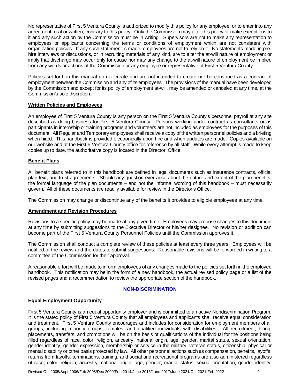No representative of First 5 Ventura County is authorized to modify this policy for any employee, or to enter into any agreement, oral or written, contrary to this policy. Only the Commission may alter this policy or make exceptions to it and any such action by the Commission must be in writing. Supervisors are not to make any representation to employees or applicants concerning the terms or conditions of employment which are not consistent with organization policies. If any such statement is made, employees are not to rely on it. No statements made in prehire interviews or discussions, or in recruiting materials of any kind, are to alter the at-will nature of employment or imply that discharge may occur only for cause nor may any change to the at-will nature of employment be implied from any words or actions of the Commission or any employee or representative of First 5 Ventura County.

Policies set forth in this manual do not create and are not intended to create nor be construed as a contract of employment between the Commission and any of its employees. The provisions of the manual have been developed by the Commission and except for its policy of employment at-will, may be amended or canceled at any time, at the Commission's sole discretion.

# **Written Policies and Employees**

An employee of First 5 Ventura County is any person on the First 5 Ventura County's personnel payroll at any site described as doing business for First 5 Ventura County. Persons working under contract as consultants or as participants in internship or training programs and volunteers are not included as employees for the purposes of this document. All Regular and Temporary employees shall receive a copy of the written personnel policies and a briefing when hired. This handbook is provided electronically upon hire and when updates are made. Copies available on our website and at the First 5 Ventura County office for reference by all staff. While every attempt is made to keep copies up to date, the authoritative copy is located in the Director' Office.

#### **Benefit Plans**

All benefit plans referred to in this handbook are defined in legal documents such as insurance contracts, official plan text, and trust agreements. Should any question ever arise about the nature and extent of the plan benefits, the formal language of the plan documents – and not the informal wording of this handbook – must necessarily govern. All of these documents are readily available for review in the Director's Office.

The Commission may change or discontinue any of the benefits it provides to eligible employees at any time.

#### **Amendment and Revision Procedures**

Revisions to a specific policy may be made at any given time. Employees may propose changes to this document at any time by submitting suggestions to the Executive Director or his/her designee. No revision or addition can become part of the First 5 Ventura County Personnel Policies until the Commission approves it.

The Commission shall conduct a complete review of these policies at least every three years. Employees will be notified of the review and the dates to submit suggestions. Reasonable revisions will be forwarded in writing to a committee of the Commission for their approval.

A reasonable effort will be made to inform employees of any changes made to the policies set forth in the employee handbook. This notification may be in the form of a new handbook, the actual revised policy page or a list of the revised pages and a recommendation to review the appropriate section of the handbook.

# **NON-DISCRIMINATION**

# **Equal Employment Opportunity**

First 5 Ventura County is an equal opportunity employer and is committed to an active Nondiscrimination Program. It is the stated policy of First 5 Ventura County that all employees and applicants shall receive equal consideration and treatment. First 5 Ventura County encourages and includes for consideration for employment members of all groups, including minority groups, females, and qualified individuals with disabilities. All recruitment, hiring, placements, transfers, and promotions will be on the basis of qualifications of the individual for the positions being filled regardless of race, color, religion, ancestry, national origin, age, gender, marital status, sexual orientation, gender identity, gender expression, membership or service in the military, veteran status, citizenship, physical or mental disability or other basis protected by law. All other personnel actions such as compensation, benefits, layoffs, returns from layoffs, terminations, training, and social and recreational programs are also administered regardless of race, color, religion, ancestry, national origin, age, gender, marital status, sexual orientation, gender identity,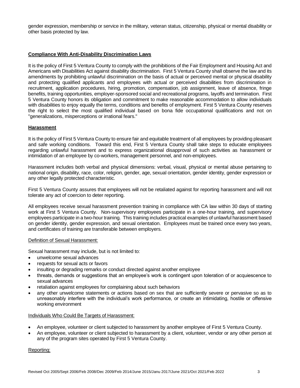gender expression, membership or service in the military, veteran status, citizenship, physical or mental disability or other basis protected by law.

# **Compliance With Anti-Disability Discrimination Laws**

It is the policy of First 5 Ventura County to comply with the prohibitions of the Fair Employment and Housing Act and Americans with Disabilities Act against disability discrimination. First 5 Ventura County shall observe the law and its amendments by prohibiting unlawful discrimination on the basis of actual or perceived mental or physical disability and protecting qualified applicants and employees with actual or perceived disabilities from discrimination in recruitment, application procedures, hiring, promotion, compensation, job assignment, leave of absence, fringe benefits, training opportunities, employer-sponsored social and recreational programs, layoffs and termination. First 5 Ventura County honors its obligation and commitment to make reasonable accommodation to allow individuals with disabilities to enjoy equally the terms, conditions and benefits of employment. First 5 Ventura County reserves the right to select the most qualified individual based on bona fide occupational qualifications and not on "generalizations, misperceptions or irrational fears."

#### **Harassment**

It is the policy of First 5 Ventura County to ensure fair and equitable treatment of all employees by providing pleasant and safe working conditions. Toward this end, First 5 Ventura County shall take steps to educate employees regarding unlawful harassment and to express organizational disapproval of such activities as harassment or intimidation of an employee by co-workers, management personnel, and non-employees.

Harassment includes both verbal and physical dimensions: verbal, visual, physical or mental abuse pertaining to national origin, disability, race, color, religion, gender, age, sexual orientation, gender identity, gender expression or any other legally protected characteristic.

First 5 Ventura County assures that employees will not be retaliated against for reporting harassment and will not tolerate any act of coercion to deter reporting.

All employees receive sexual harassment prevention training in compliance with CA law within 30 days of starting work at First 5 Ventura County. Non-supervisory employees participate in a one-hour training, and supervisory employees participate in a two-hour training. This training includes practical examples of unlawful harassment based on gender identity, gender expression, and sexual orientation. Employees must be trained once every two years, and certificates of training are transferable between employers.

#### Definition of Sexual Harassment:

Sexual harassment may include, but is not limited to:

- unwelcome sexual advances
- requests for sexual acts or favors
- insulting or degrading remarks or conduct directed against another employee
- threats, demands or suggestions that an employee's work is contingent upon toleration of or acquiescence to sexual advances
- retaliation against employees for complaining about such behaviors
- any other unwelcome statements or actions based on sex that are sufficiently severe or pervasive so as to unreasonably interfere with the individual's work performance, or create an intimidating, hostile or offensive working environment

#### Individuals Who Could Be Targets of Harassment:

- An employee, volunteer or client subjected to harassment by another employee of First 5 Ventura County.
- An employee, volunteer or client subjected to harassment by a client, volunteer, vendor or any other person at any of the program sites operated by First 5 Ventura County.

Reporting: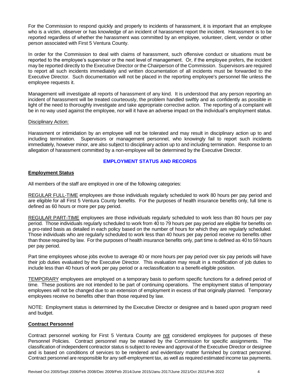For the Commission to respond quickly and properly to incidents of harassment, it is important that an employee who is a victim, observer or has knowledge of an incident of harassment report the incident. Harassment is to be reported regardless of whether the harassment was committed by an employee, volunteer, client, vendor or other person associated with First 5 Ventura County.

In order for the Commission to deal with claims of harassment, such offensive conduct or situations must be reported to the employee's supervisor or the next level of management. Or, if the employee prefers, the incident may be reported directly to the Executive Director or the Chairperson of the Commission. Supervisors are required to report all such incidents immediately and written documentation of all incidents must be forwarded to the Executive Director. Such documentation will not be placed in the reporting employee's personnel file unless the employee requests it.

Management will investigate all reports of harassment of any kind. It is understood that any person reporting an incident of harassment will be treated courteously, the problem handled swiftly and as confidently as possible in light of the need to thoroughly investigate and take appropriate corrective action. The reporting of a complaint will be in no way used against the employee, nor will it have an adverse impact on the individual's employment status.

#### Disciplinary Action:

Harassment or intimidation by an employee will not be tolerated and may result in disciplinary action up to and including termination. Supervisors or management personnel, who knowingly fail to report such incidents immediately, however minor, are also subject to disciplinary action up to and including termination. Response to an allegation of harassment committed by a non-employee will be determined by the Executive Director.

#### **EMPLOYMENT STATUS AND RECORDS**

#### **Employment Status**

All members of the staff are employed in one of the following categories:

REGULAR FULL-TIME employees are those individuals regularly scheduled to work 80 hours per pay period and are eligible for all First 5 Ventura County benefits. For the purposes of health insurance benefits only, full time is defined as 60 hours or more per pay period.

REGULAR PART-TIME employees are those individuals regularly scheduled to work less than 80 hours per pay period. Those individuals regularly scheduled to work from 40 to 79 hours per pay period are eligible for benefits on a pro-rated basis as detailed in each policy based on the number of hours for which they are regularly scheduled. Those individuals who are regularly scheduled to work less than 40 hours per pay period receive no benefits other than those required by law. For the purposes of health insurance benefits only, part time is defined as 40 to 59 hours per pay period.

Part time employees whose jobs evolve to average 40 or more hours per pay period over six pay periods will have their job duties evaluated by the Executive Director. This evaluation may result in a modification of job duties to include less than 40 hours of work per pay period or a reclassification to a benefit-eligible position.

TEMPORARY employees are employed on a temporary basis to perform specific functions for a defined period of time. These positions are not intended to be part of continuing operations. The employment status of temporary employees will not be changed due to an extension of employment in excess of that originally planned. Temporary employees receive no benefits other than those required by law.

NOTE: Employment status is determined by the Executive Director or designee and is based upon program need and budget.

## **Contract Personnel**

Contract personnel working for First 5 Ventura County are not considered employees for purposes of these Personnel Policies. Contract personnel may be retained by the Commission for specific assignments. The classification of independent contractor status is subject to review and approval of the Executive Director or designee and is based on conditions of services to be rendered and evidentiary matter furnished by contract personnel. Contract personnel are responsible for any self-employment tax, as well as required estimated income tax payments.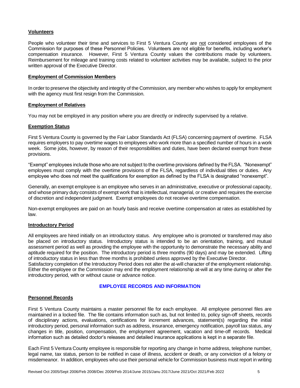#### **Volunteers**

People who volunteer their time and services to First 5 Ventura County are not considered employees of the Commission for purposes of these Personnel Policies. Volunteers are not eligible for benefits, including worker's compensation insurance. However, First 5 Ventura County values the contributions made by volunteers. Reimbursement for mileage and training costs related to volunteer activities may be available, subject to the prior written approval of the Executive Director.

#### **Employment of Commission Members**

In order to preserve the objectivity and integrity of the Commission, any member who wishes to apply for employment with the agency must first resign from the Commission.

#### **Employment of Relatives**

You may not be employed in any position where you are directly or indirectly supervised by a relative.

#### **Exemption Status**

First 5 Ventura County is governed by the Fair Labor Standards Act (FLSA) concerning payment of overtime. FLSA requires employers to pay overtime wages to employees who work more than a specified number of hours in a work week. Some jobs, however, by reason of their responsibilities and duties, have been declared exempt from these provisions.

"Exempt" employees include those who are not subject to the overtime provisions defined by the FLSA. "Nonexempt" employees must comply with the overtime provisions of the FLSA, regardless of individual titles or duties. Any employee who does not meet the qualifications for exemption as defined by the FLSA is designated "nonexempt".

Generally, an exempt employee is an employee who serves in an administrative, executive or professional capacity, and whose primary duty consists of exempt work that is intellectual, managerial, or creative and requires the exercise of discretion and independent judgment. Exempt employees do not receive overtime compensation.

Non-exempt employees are paid on an hourly basis and receive overtime compensation at rates as established by law.

#### **Introductory Period**

All employees are hired initially on an introductory status. Any employee who is promoted or transferred may also be placed on introductory status. Introductory status is intended to be an orientation, training, and mutual assessment period as well as providing the employee with the opportunity to demonstrate the necessary ability and aptitude required for the position. The introductory period is three months (90 days) and may be extended. Lifting of introductory status in less than three months is prohibited unless approved by the Executive Director.

Satisfactory completion of the Introductory Period does not alter the at-will character of the employment relationship. Either the employee or the Commission may end the employment relationship at-will at any time during or after the introductory period, with or without cause or advance notice.

#### **EMPLOYEE RECORDS AND INFORMATION**

#### **Personnel Records**

First 5 Ventura County maintains a master personnel file for each employee. All employee personnel files are maintained in a locked file. The file contains information such as, but not limited to, policy sign-off sheets, records of disciplinary actions, evaluations, certifications for increment advances, statement(s) regarding the initial introductory period, personal information such as address, insurance, emergency notification, payroll tax status, any changes in title, position, compensation, the employment agreement, vacation and time-off records. Medical information such as detailed doctor's releases and detailed insurance applications is kept in a separate file.

Each First 5 Ventura County employee is responsible for reporting any change in home address, telephone number, legal name, tax status, person to be notified in case of illness, accident or death, or any conviction of a felony or misdemeanor. In addition, employees who use their personal vehicle for Commission business must report in writing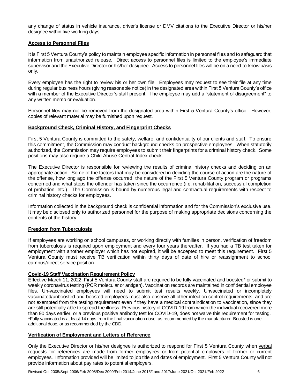any change of status in vehicle insurance, driver's license or DMV citations to the Executive Director or his/her designee within five working days.

#### **Access to Personnel Files**

It is First 5 Ventura County's policy to maintain employee specific information in personnel files and to safeguard that information from unauthorized release. Direct access to personnel files is limited to the employee's immediate supervisor and the Executive Director or his/her designee. Access to personnel files will be on a need-to-know basis only.

Every employee has the right to review his or her own file. Employees may request to see their file at any time during regular business hours (giving reasonable notice) in the designated area within First 5 Ventura County's office with a member of the Executive Director's staff present. The employee may add a "statement of disagreement" to any written memo or evaluation.

Personnel files may not be removed from the designated area within First 5 Ventura County's office. However, copies of relevant material may be furnished upon request.

## **Background Check, Criminal History, and Fingerprint Checks**

First 5 Ventura County is committed to the safety, welfare, and confidentiality of our clients and staff. To ensure this commitment, the Commission may conduct background checks on prospective employees. When statutorily authorized, the Commission may require employees to submit their fingerprints for a criminal history check. Some positions may also require a Child Abuse Central Index check.

The Executive Director is responsible for reviewing the results of criminal history checks and deciding on an appropriate action. Some of the factors that may be considered in deciding the course of action are the nature of the offense, how long ago the offense occurred, the nature of the First 5 Ventura County program or programs concerned and what steps the offender has taken since the occurrence (i.e. rehabilitation, successful completion of probation, etc.). The Commission is bound by numerous legal and contractual requirements with respect to criminal history checks for employees.

Information collected in the background check is confidential information and for the Commission's exclusive use. It may be disclosed only to authorized personnel for the purpose of making appropriate decisions concerning the contents of the history.

#### **Freedom from Tuberculosis**

If employees are working on school campuses, or working directly with families in person, verification of freedom from tuberculosis is required upon employment and every four years thereafter. If you had a TB test taken for employment with another employer which has not expired, it will be accepted to meet this requirement. First 5 Ventura County must receive TB verification within thirty days of date of hire or reassignment to school campus/direct service position.

#### **Covid-19 Staff Vaccination Requirement Policy**

Effective March 11, 2022, First 5 Ventura County staff are required to be fully vaccinated and boosted\* or submit to weekly coronavirus testing (PCR molecular or antigen). Vaccination records are maintained in confidential employee files. Un-vaccinated employees will need to submit test results weekly. Unvaccinated or incompletely vaccinated/unboosted and boosted employees must also observe all other infection control requirements, and are not exempted from the testing requirement even if they have a medical contraindication to vaccination, since they are still potentially able to spread the illness. Previous history of COVID-19 from which the individual recovered more than 90 days earlier, or a previous positive antibody test for COVID-19, does not waive this requirement for testing. \*Fully vaccinated is at least 14 days from the final vaccination dose, as recommended by the manufacturer. Boosted is one additional dose, or as recommended by the CDD.

#### **Verification of Employment and Letters of Reference**

Only the Executive Director or his/her designee is authorized to respond for First 5 Ventura County when verbal requests for references are made from former employees or from potential employers of former or current employees. Information provided will be limited to job title and dates of employment. First 5 Ventura County will not provide information about pay rates to potential employers.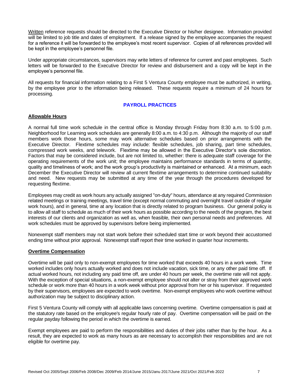Written reference requests should be directed to the Executive Director or his/her designee. Information provided will be limited to job title and dates of employment. If a release signed by the employee accompanies the request for a reference it will be forwarded to the employee's most recent supervisor. Copies of all references provided will be kept in the employee's personnel file.

Under appropriate circumstances, supervisors may write letters of reference for current and past employees. Such letters will be forwarded to the Executive Director for review and disbursement and a copy will be kept in the employee's personnel file.

All requests for financial information relating to a First 5 Ventura County employee must be authorized, in writing, by the employee prior to the information being released. These requests require a minimum of 24 hours for processing.

# **PAYROLL PRACTICES**

#### **Allowable Hours**

A normal full time work schedule in the central office is Monday through Friday from 8:30 a.m. to 5:00 p.m. Neighborhood for Learning work schedules are generally 8:00 a.m. to 4:30 p.m. Although the majority of our staff members work those hours, some may work alternative schedules based on prior arrangements with the Executive Director. Flextime schedules may include: flexible schedules, job sharing, part time schedules, compressed work weeks, and telework. Flextime may be allowed in the Executive Director's sole discretion. Factors that may be considered include, but are not limited to, whether: there is adequate staff coverage for the operating requirements of the work unit; the employee maintains performance standards in terms of quantity, quality and timeliness of work; and the work group's productivity is maintained or enhanced. At a minimum, each December the Executive Director will review all current flextime arrangements to determine continued suitability and need. New requests may be submitted at any time of the year through the procedures developed for requesting flextime.

Employees may credit as work hours any actually assigned "on-duty" hours, attendance at any required Commission related meetings or training meetings, travel time (except normal commuting and overnight travel outside of regular work hours), and in general, time at any location that is directly related to program business. Our general policy is to allow all staff to schedule as much of their work hours as possible according to the needs of the program, the best interests of our clients and organization as well as, when feasible, their own personal needs and preferences. All work schedules must be approved by supervisors before being implemented.

Nonexempt staff members may not start work before their scheduled start time or work beyond their accustomed ending time without prior approval. Nonexempt staff report their time worked in quarter hour increments.

#### **Overtime Compensation**

Overtime will be paid only to non-exempt employees for time worked that exceeds 40 hours in a work week. Time worked includes only hours actually worked and does not include vacation, sick time, or any other paid time off. If actual worked hours, not including any paid time off, are under 40 hours per week, the overtime rate will not apply. With the exception of special situations, a non-exempt employee should not alter or stray from their approved work schedule or work more than 40 hours in a work week without prior approval from her or his supervisor. If requested by their supervisors, employees are expected to work overtime. Non-exempt employees who work overtime without authorization may be subject to disciplinary action.

First 5 Ventura County will comply with all applicable laws concerning overtime. Overtime compensation is paid at the statutory rate based on the employee's regular hourly rate of pay. Overtime compensation will be paid on the regular payday following the period in which the overtime is earned.

Exempt employees are paid to perform the responsibilities and duties of their jobs rather than by the hour. As a result, they are expected to work as many hours as are necessary to accomplish their responsibilities and are not eligible for overtime pay.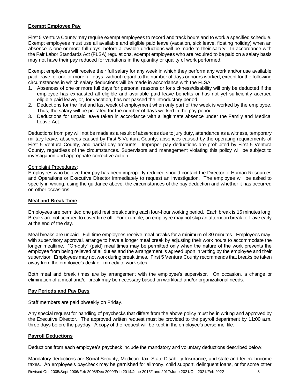## **Exempt Employee Pay**

First 5 Ventura County may require exempt employees to record and track hours and to work a specified schedule. Exempt employees must use all available and eligible paid leave (vacation, sick leave, floating holiday) when an absence is one or more full days, before allowable deductions will be made to their salary. In accordance with the Fair Labor Standards Act (FLSA) regulations, exempt employees who are required to be paid on a salary basis may not have their pay reduced for variations in the quantity or quality of work performed.

Exempt employees will receive their full salary for any week in which they perform any work and/or use available paid leave for one or more full days, without regard to the number of days or hours worked, except for the following circumstances in which salary deductions will be made in accordance with the FLSA:

- 1. Absences of one or more full days for personal reasons or for sickness/disability will only be deducted if the employee has exhausted all eligible and available paid leave benefits or has not yet sufficiently accrued eligible paid leave, or, for vacation, has not passed the introductory period.
- 2. Deductions for the first and last week of employment when only part of the week is worked by the employee. Thus, the salary will be prorated for the number of days worked in the pay period.
- 3. Deductions for unpaid leave taken in accordance with a legitimate absence under the Family and Medical Leave Act.

Deductions from pay will not be made as a result of absences due to jury duty, attendance as a witness, temporary military leave, absences caused by First 5 Ventura County, absences caused by the operating requirements of First 5 Ventura County, and partial day amounts. Improper pay deductions are prohibited by First 5 Ventura County, regardless of the circumstances. Supervisors and management violating this policy will be subject to investigation and appropriate corrective action.

#### Complaint Procedures:

Employees who believe their pay has been improperly reduced should contact the Director of Human Resources and Operations or Executive Director immediately to request an investigation. The employee will be asked to specify in writing, using the guidance above, the circumstances of the pay deduction and whether it has occurred on other occasions.

#### **Meal and Break Time**

Employees are permitted one paid rest break during each four-hour working period. Each break is 15 minutes long. Breaks are not accrued to cover time off. For example, an employee may not skip an afternoon break to leave early at the end of the day.

Meal breaks are unpaid. Full time employees receive meal breaks for a minimum of 30 minutes. Employees may, with supervisory approval, arrange to have a longer meal break by adjusting their work hours to accommodate the longer mealtime. "On-duty" (paid) meal times may be permitted only when the nature of the work prevents the employee from being relieved of all duties and the arrangement is agreed upon in writing by the employee and their supervisor. Employees may not work during break times. First 5 Ventura County recommends that breaks be taken away from the employee's desk or immediate work sites.

Both meal and break times are by arrangement with the employee's supervisor. On occasion, a change or elimination of a meal and/or break may be necessary based on workload and/or organizational needs.

#### **Pay Periods and Pay Days**

Staff members are paid biweekly on Friday.

Any special request for handling of paychecks that differs from the above policy must be in writing and approved by the Executive Director. The approved written request must be provided to the payroll department by 11:00 a.m. three days before the payday. A copy of the request will be kept in the employee's personnel file.

#### **Payroll Deductions**

Deductions from each employee's paycheck include the mandatory and voluntary deductions described below:

Mandatory deductions are Social Security, Medicare tax, State Disability Insurance, and state and federal income taxes. An employee's paycheck may be garnished for alimony, child support, delinquent loans, or for some other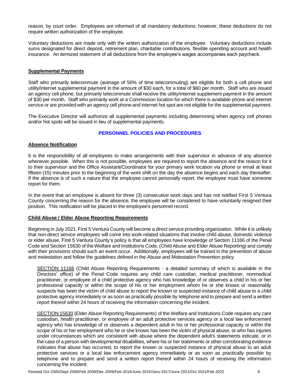reason, by court order. Employees are informed of all mandatory deductions; however, these deductions do not require written authorization of the employee.

Voluntary deductions are made only with the written authorization of the employee. Voluntary deductions include sums designated for direct deposit, retirement plan, charitable contributions, flexible spending account and health insurance. An itemized statement of all deductions from the employee's wages accompanies each paycheck.

#### **Supplemental Payments**

Staff who primarily telecommute (average of 50% of time telecommuting) are eligible for both a cell phone and utility/internet supplemental payment in the amount of \$30 each, for a total of \$60 per month. Staff who are issued an agency cell phone, but primarily telecommute shall receive the utility/internet supplement payment in the amount of \$30 per month. Staff who primarily work at a Commission location for which there is available phone and internet service or are provided with an agency cell phone and internet hot spot are not eligible for the supplemental payment.

The Executive Director will authorize all supplemental payments including determining when agency cell phones and/or hot spots will be issued in lieu of supplemental payments.

## **PERSONNEL POLICIES AND PROCEDURES**

#### **Absence Notification**

It is the responsibility of all employees to make arrangements with their supervisor in advance of any absence whenever possible. When this is not possible, employees are required to report the absence and the reason for it to their supervisor and the Office Assistant/Coordinator for your primary work location via phone or email at least fifteen (15) minutes prior to the beginning of the work shift on the day the absence begins and each day thereafter. If the absence is of such a nature that the employee cannot personally report, the employee must have someone report for them.

In the event that an employee is absent for three (3) consecutive work days and has not notified First 5 Ventura County concerning the reason for the absence, the employee will be considered to have voluntarily resigned their position. This notification will be placed in the employee's personnel record.

#### **Child Abuse / Elder Abuse Reporting Requirements**

Beginning in July 2021, First 5 Ventura County will become a direct service providing organization. While it is unlikely that non-direct service employees will come into work-related situations that involve child abuse, domestic violence or elder abuse, First 5 Ventura County's policy is that all employees have knowledge of Section 11166 of the Penal Code and Section 15630 of the Welfare and Institutions Code, (Child Abuse and Elder Abuse Reporting) and comply with their provisions should such an event occur. Additionally, employees will be trained in the prevention of abuse and molestation and follow the guidelines defined in the Abuse and Molestation Prevention policy.

SECTION 11166 (Child Abuse Reporting Requirements - a detailed summary of which is available in the Directors' office) of the Penal Code requires any child care custodian, medical practitioner, nonmedical practitioner, or employee of a child protective agency who has knowledge of or observes a child in his or her professional capacity or within the scope of his or her employment whom he or she knows or reasonably suspects has been the victim of child abuse to report the known or suspected instance of child abuse to a child protective agency immediately or as soon as practically possible by telephone and to prepare and send a written report thereof within 24 hours of receiving the information concerning the incident.

SECTION 15630 (Elder Abuse Reporting Requirements) of the Welfare and Institutions Code requires any care custodian, health practitioner, or employee of an adult protective services agency or a local law enforcement agency who has knowledge of or observes a dependent adult in his or her professional capacity or within the scope of his or her employment who he or she knows has been the victim of physical abuse, or who has injuries under circumstances which are consistent with abuse where the dependent adult's statements indicate, or in the case of a person with developmental disabilities, where his or her statements or other corroborating evidence indicates that abuse has occurred, to report the known or suspected instance of physical abuse to an adult protective services or a local law enforcement agency immediately or as soon as practically possible by telephone and to prepare and send a written report thereof within 24 hours of receiving the information concerning the incident.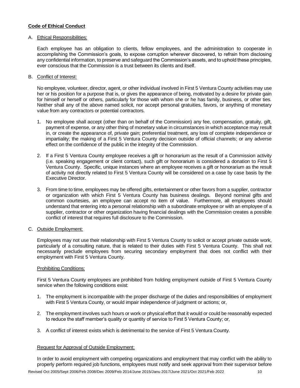# **Code of Ethical Conduct**

#### A. Ethical Responsibilities:

Each employee has an obligation to clients, fellow employees, and the administration to cooperate in accomplishing the Commission's goals, to expose corruption wherever discovered, to refrain from disclosing any confidential information, to preserve and safeguard the Commission's assets, and to uphold these principles, ever conscious that the Commission is a trust between its clients and itself.

B. Conflict of Interest:

No employee, volunteer, director, agent, or other individual involved in First 5 Ventura County activities may use her or his position for a purpose that is, or gives the appearance of being, motivated by a desire for private gain for himself or herself or others, particularly for those with whom she or he has family, business, or other ties. Neither shall any of the above named solicit, nor accept personal gratuities, favors, or anything of monetary value from any contractors or potential contractors.

- 1. No employee shall accept (other than on behalf of the Commission) any fee, compensation, gratuity, gift, payment of expense, or any other thing of monetary value in circumstances in which acceptance may result in, or create the appearance of, private gain; preferential treatment, any loss of complete independence or impartiality; the making of a First 5 Ventura County decision outside of official channels; or any adverse effect on the confidence of the public in the integrity of the Commission.
- 2. If a First 5 Ventura County employee receives a gift or honorarium as the result of a Commission activity (i.e. speaking engagement or client contact), such gift or honorarium is considered a donation to First 5 Ventura County. Specific, unique instances where an employee receives a gift or honorarium as the result of activity not directly related to First 5 Ventura County will be considered on a case by case basis by the Executive Director.
- 3. From time to time, employees may be offered gifts, entertainment or other favors from a supplier, contractor or organization with which First 5 Ventura County has business dealings. Beyond nominal gifts and common courtesies, an employee can accept no item of value. Furthermore, all employees should understand that entering into a personal relationship with a subordinate employee or with an employee of a supplier, contractor or other organization having financial dealings with the Commission creates a possible conflict of interest that requires full disclosure to the Commission.
- C. Outside Employment:

Employees may not use their relationship with First 5 Ventura County to solicit or accept private outside work, particularly of a consulting nature, that is related to their duties with First 5 Ventura County. This shall not necessarily preclude employees from securing secondary employment that does not conflict with their employment with First 5 Ventura County.

#### Prohibiting Conditions:

First 5 Ventura County employees are prohibited from holding employment outside of First 5 Ventura County service when the following conditions exist:

- 1. The employment is incompatible with the proper discharge of the duties and responsibilities of employment with First 5 Ventura County, or would impair independence of judgment or actions; or,
- 2. The employment involves such hours or work or physical effort that it would or could be reasonably expected to reduce the staff member's quality or quantity of service to First 5 Ventura County; or,
- 3. A conflict of interest exists which is detrimental to the service of First 5 Ventura County.

# Request for Approval of Outside Employment:

In order to avoid employment with competing organizations and employment that may conflict with the ability to properly perform required job functions, employees must notify and seek approval from their supervisor before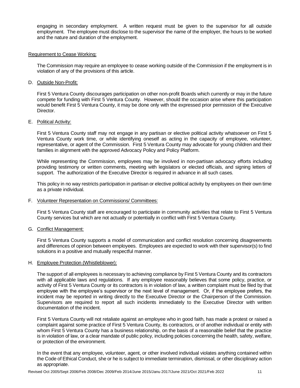engaging in secondary employment. A written request must be given to the supervisor for all outside employment. The employee must disclose to the supervisor the name of the employer, the hours to be worked and the nature and duration of the employment.

#### Requirement to Cease Working:

The Commission may require an employee to cease working outside of the Commission if the employment is in violation of any of the provisions of this article.

D. Outside Non-Profit:

First 5 Ventura County discourages participation on other non-profit Boards which currently or may in the future compete for funding with First 5 Ventura County. However, should the occasion arise where this participation would benefit First 5 Ventura County, it may be done only with the expressed prior permission of the Executive Director.

E. Political Activity:

First 5 Ventura County staff may not engage in any partisan or elective political activity whatsoever on First 5 Ventura County work time, or while identifying oneself as acting in the capacity of employee, volunteer, representative, or agent of the Commission. First 5 Ventura County may advocate for young children and their families in alignment with the approved Advocacy Policy and Policy Platform.

While representing the Commission, employees may be involved in non-partisan advocacy efforts including providing testimony or written comments, meeting with legislators or elected officials, and signing letters of support. The authorization of the Executive Director is required in advance in all such cases.

This policy in no way restricts participation in partisan or elective political activity by employees on their own time as a private individual.

#### F. Volunteer Representation on Commissions/ Committees:

First 5 Ventura County staff are encouraged to participate in community activities that relate to First 5 Ventura County services but which are not actually or potentially in conflict with First 5 Ventura County.

G. Conflict Management:

First 5 Ventura County supports a model of communication and conflict resolution concerning disagreements and differences of opinion between employees. Employees are expected to work with their supervisor(s) to find solutions in a positive and mutually respectful manner.

#### H. Employee Protection (Whistleblower):

The support of all employees is necessary to achieving compliance by First 5 Ventura County and its contractors with all applicable laws and regulations. If any employee reasonably believes that some policy, practice, or activity of First 5 Ventura County or its contractors is in violation of law, a written complaint must be filed by that employee with the employee's supervisor or the next level of management. Or, if the employee prefers, the incident may be reported in writing directly to the Executive Director or the Chairperson of the Commission. Supervisors are required to report all such incidents immediately to the Executive Director with written documentation of the incident.

First 5 Ventura County will not retaliate against an employee who in good faith, has made a protest or raised a complaint against some practice of First 5 Ventura County, its contractors, or of another individual or entity with whom First 5 Ventura County has a business relationship, on the basis of a reasonable belief that the practice is in violation of law, or a clear mandate of public policy, including policies concerning the health, safety, welfare, or protection of the environment.

In the event that any employee, volunteer, agent, or other involved individual violates anything contained within the Code of Ethical Conduct, she or he is subject to immediate termination, dismissal, or other disciplinary action as appropriate.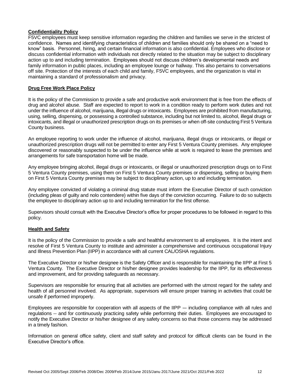#### **Confidentiality Policy**

F5VC employees must keep sensitive information regarding the children and families we serve in the strictest of confidence. Names and identifying characteristics of children and families should only be shared on a "need to know" basis. Personnel, hiring, and certain financial information is also confidential. Employees who disclose or discuss confidential information with individuals not directly related to the situation may be subject to disciplinary action up to and including termination. Employees should not discuss children's developmental needs and family information in public places, including an employee lounge or hallway. This also pertains to conversations off site. Protection of the interests of each child and family, F5VC employees, and the organization is vital in maintaining a standard of professionalism and privacy.

# **Drug Free Work Place Policy**

It is the policy of the Commission to provide a safe and productive work environment that is free from the effects of drug and alcohol abuse. Staff are expected to report to work in a condition ready to perform work duties and not under the influence of alcohol, marijuana, illegal drugs or intoxicants. Employees are prohibited from manufacturing, using, selling, dispensing, or possessing a controlled substance, including but not limited to, alcohol, illegal drugs or intoxicants, and illegal or unauthorized prescription drugs on its premises or when off-site conducting First 5 Ventura County business.

An employee reporting to work under the influence of alcohol, marijuana, illegal drugs or intoxicants, or illegal or unauthorized prescription drugs will not be permitted to enter any First 5 Ventura County premises. Any employee discovered or reasonably suspected to be under the influence while at work is required to leave the premises and arrangements for safe transportation home will be made.

Any employee bringing alcohol, illegal drugs or intoxicants, or illegal or unauthorized prescription drugs on to First 5 Ventura County premises, using them on First 5 Ventura County premises or dispensing, selling or buying them on First 5 Ventura County premises may be subject to disciplinary action, up to and including termination.

Any employee convicted of violating a criminal drug statute must inform the Executive Director of such conviction (including pleas of guilty and nolo contendere) within five days of the conviction occurring. Failure to do so subjects the employee to disciplinary action up to and including termination for the first offense.

Supervisors should consult with the Executive Director's office for proper procedures to be followed in regard to this policy.

#### **Health and Safety**

It is the policy of the Commission to provide a safe and healthful environment to all employees. It is the intent and resolve of First 5 Ventura County to institute and administer a comprehensive and continuous occupational Injury and Illness Prevention Plan (IIPP) in accordance with all current CAL/OSHA regulations.

The Executive Director or his/her designee is the Safety Officer and is responsible for maintaining the IIPP at First 5 Ventura County. The Executive Director or his/her designee provides leadership for the IIPP, for its effectiveness and improvement, and for providing safeguards as necessary.

Supervisors are responsible for ensuring that all activities are performed with the utmost regard for the safety and health of all personnel involved. As appropriate, supervisors will ensure proper training in activities that could be unsafe if performed improperly.

Employees are responsible for cooperation with all aspects of the IIPP - including compliance with all rules and regulations -- and for continuously practicing safety while performing their duties. Employees are encouraged to notify the Executive Director or his/her designee of any safety concerns so that those concerns may be addressed in a timely fashion.

Information on general office safety, client and staff safety and protocol for difficult clients can be found in the Executive Director's office.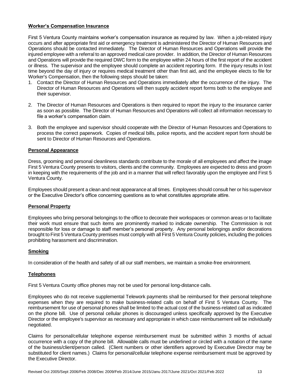# **Worker's Compensation Insurance**

First 5 Ventura County maintains worker's compensation insurance as required by law. When a job-related injury occurs and after appropriate first aid or emergency treatment is administered the Director of Human Resources and Operations should be contacted immediately. The Director of Human Resources and Operations will provide the injured employee with a referral to an approved medical care provider. In addition, the Director of Human Resources and Operations will provide the required DWC form to the employee within 24 hours of the first report of the accident or illness. The supervisor and the employee should complete an accident reporting form. If the injury results in lost time beyond the day of injury or requires medical treatment other than first aid, and the employee elects to file for Worker's Compensation, then the following steps should be taken:

- 1. Contact the Director of Human Resources and Operations immediately after the occurrence of the injury. The Director of Human Resources and Operations will then supply accident report forms both to the employee and their supervisor.
- 2. The Director of Human Resources and Operations is then required to report the injury to the insurance carrier as soon as possible. The Director of Human Resources and Operations will collect all information necessary to file a worker's compensation claim.
- 3. Both the employee and supervisor should cooperate with the Director of Human Resources and Operations to process the correct paperwork. Copies of medical bills, police reports, and the accident report form should be sent to Director of Human Resources and Operations.

#### **Personal Appearance**

Dress, grooming and personal cleanliness standards contribute to the morale of all employees and affect the image First 5 Ventura County presents to visitors, clients and the community. Employees are expected to dress and groom in keeping with the requirements of the job and in a manner that will reflect favorably upon the employee and First 5 Ventura County.

Employees should present a clean and neat appearance at all times. Employees should consult her or his supervisor or the Executive Director's office concerning questions as to what constitutes appropriate attire.

#### **Personal Property**

Employees who bring personal belongings to the office to decorate their workspaces or common areas or to facilitate their work must ensure that such items are prominently marked to indicate ownership. The Commission is not responsible for loss or damage to staff member's personal property. Any personal belongings and/or decorations brought to First 5 Ventura County premises must comply with all First 5 Ventura County policies, including the policies prohibiting harassment and discrimination.

#### **Smoking**

In consideration of the health and safety of all our staff members, we maintain a smoke-free environment.

#### **Telephones**

First 5 Ventura County office phones may not be used for personal long-distance calls.

Employees who do not receive supplemental Telework payments shall be reimbursed for their personal telephone expenses when they are required to make business-related calls on behalf of First 5 Ventura County. The reimbursement for use of personal phones shall be limited to the actual cost of the business-related call as indicated on the phone bill. Use of personal cellular phones is discouraged unless specifically approved by the Executive Director or the employee's supervisor as necessary and appropriate in which case reimbursement will be individually negotiated.

Claims for personal/cellular telephone expense reimbursement must be submitted within 3 months of actual occurrence with a copy of the phone bill. Allowable calls must be underlined or circled with a notation of the name of the business/client/person called. (Client numbers or other identifiers approved by Executive Director may be substituted for client names.) Claims for personal/cellular telephone expense reimbursement must be approved by the Executive Director.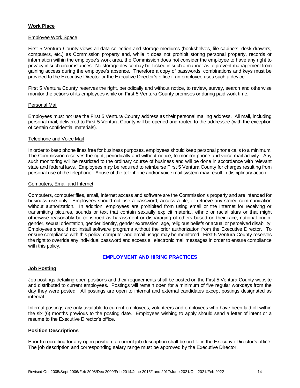# **Work Place**

#### Employee Work Space

First 5 Ventura County views all data collection and storage mediums (bookshelves, file cabinets, desk drawers, computers, etc.) as Commission property and, while it does not prohibit storing personal property, records or information within the employee's work area, the Commission does not consider the employee to have any right to privacy in such circumstances. No storage device may be locked in such a manner as to prevent management from gaining access during the employee's absence. Therefore a copy of passwords, combinations and keys must be provided to the Executive Director or the Executive Director's office if an employee uses such a device.

First 5 Ventura County reserves the right, periodically and without notice, to review, survey, search and otherwise monitor the actions of its employees while on First 5 Ventura County premises or during paid work time.

#### Personal Mail

Employees must not use the First 5 Ventura County address as their personal mailing address. All mail, including personal mail, delivered to First 5 Ventura County will be opened and routed to the addressee (with the exception of certain confidential materials).

#### Telephone and Voice Mail

In order to keep phone lines free for business purposes, employees should keep personal phone calls to a minimum. The Commission reserves the right, periodically and without notice, to monitor phone and voice mail activity. Any such monitoring will be restricted to the ordinary course of business and will be done in accordance with relevant state and federal laws. Employees may be required to reimburse First 5 Ventura County for charges resulting from personal use of the telephone. Abuse of the telephone and/or voice mail system may result in disciplinary action.

#### Computers, Email and Internet

Computers, computer files, email, Internet access and software are the Commission's property and are intended for business use only. Employees should not use a password, access a file, or retrieve any stored communication without authorization. In addition, employees are prohibited from using email or the Internet for receiving or transmitting pictures, sounds or text that contain sexually explicit material, ethnic or racial slurs or that might otherwise reasonably be construed as harassment or disparaging of others based on their race, national origin, gender, sexual orientation, gender identity, gender expression, age, religious beliefs or actual or perceived disability. Employees should not install software programs without the prior authorization from the Executive Director. To ensure compliance with this policy, computer and email usage may be monitored. First 5 Ventura County reserves the right to override any individual password and access all electronic mail messages in order to ensure compliance with this policy.

#### **EMPLOYMENT AND HIRING PRACTICES**

#### **Job Posting**

Job postings detailing open positions and their requirements shall be posted on the First 5 Ventura County website and distributed to current employees. Postings will remain open for a minimum of five regular workdays from the day they were posted. All postings are open to internal and external candidates except postings designated as internal.

Internal postings are only available to current employees, volunteers and employees who have been laid off within the six (6) months previous to the posting date. Employees wishing to apply should send a letter of intent or a resume to the Executive Director's office.

#### **Position Descriptions**

Prior to recruiting for any open position, a current job description shall be on file in the Executive Director's office. The job description and corresponding salary range must be approved by the Executive Director.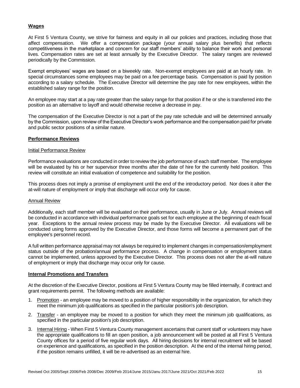### **Wages**

At First 5 Ventura County, we strive for fairness and equity in all our policies and practices, including those that affect compensation. We offer a compensation package (your annual salary plus benefits) that reflects competitiveness in the marketplace and concern for our staff members' ability to balance their work and personal lives. Compensation rates are set at least annually by the Executive Director. The salary ranges are reviewed periodically by the Commission.

Exempt employees' wages are based on a biweekly rate. Non-exempt employees are paid at an hourly rate. In special circumstances some employees may be paid on a fee percentage basis. Compensation is paid by position according to a salary schedule. The Executive Director will determine the pay rate for new employees, within the established salary range for the position.

An employee may start at a pay rate greater than the salary range for that position if he or she is transferred into the position as an alternative to layoff and would otherwise receive a decrease in pay.

The compensation of the Executive Director is not a part of the pay rate schedule and will be determined annually by the Commission, upon review of the Executive Director's work performance and the compensation paid for private and public sector positions of a similar nature.

#### **Performance Reviews**

#### Initial Performance Review

Performance evaluations are conducted in order to review the job performance of each staff member. The employee will be evaluated by his or her supervisor three months after the date of hire for the currently held position. This review will constitute an initial evaluation of competence and suitability for the position.

This process does not imply a promise of employment until the end of the introductory period. Nor does it alter the at-will nature of employment or imply that discharge will occur only for cause.

#### Annual Review

Additionally, each staff member will be evaluated on their performance, usually in June or July. Annual reviews will be conducted in accordance with individual performance goals set for each employee at the beginning of each fiscal year. Exceptions to the annual review process may be made by the Executive Director. All evaluations will be conducted using forms approved by the Executive Director, and those forms will become a permanent part of the employee's personnel record.

A full written performance appraisal may not always be required to implement changes in compensation/employment status outside of the probation/annual performance process. A change in compensation or employment status cannot be implemented, unless approved by the Executive Director. This process does not alter the at-will nature of employment or imply that discharge may occur only for cause.

#### **Internal Promotions and Transfers**

At the discretion of the Executive Director, positions at First 5 Ventura County may be filled internally, if contract and grant requirements permit. The following methods are available:

- 1. Promotion an employee may be moved to a position of higher responsibility in the organization, for which they meet the minimum job qualifications as specified in the particular position's job description.
- 2. Transfer an employee may be moved to a position for which they meet the minimum job qualifications, as specified in the particular position's job description.
- 3. Internal Hiring When First 5 Ventura County management ascertains that current staff or volunteers may have the appropriate qualifications to fill an open position, a job announcement will be posted at all First 5 Ventura County offices for a period of five regular work days. All hiring decisions for internal recruitment will be based on experience and qualifications, as specified in the position description. At the end of the internal hiring period, if the position remains unfilled, it will be re-advertised as an external hire.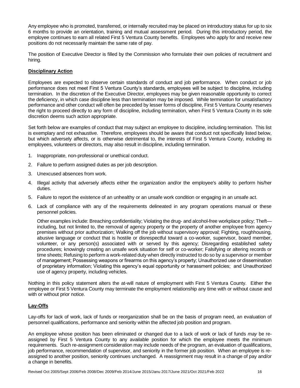Any employee who is promoted, transferred, or internally recruited may be placed on introductory status for up to six 6 months to provide an orientation, training and mutual assessment period. During this introductory period, the employee continues to earn all related First 5 Ventura County benefits. Employees who apply for and receive new positions do not necessarily maintain the same rate of pay.

The position of Executive Director is filled by the Commission who formulate their own policies of recruitment and hiring.

# **Disciplinary Action**

Employees are expected to observe certain standards of conduct and job performance. When conduct or job performance does not meet First 5 Ventura County's standards, employees will be subject to discipline, including termination. In the discretion of the Executive Director, employees may be given reasonable opportunity to correct the deficiency, in which case discipline less than termination may be imposed. While termination for unsatisfactory performance and other conduct will often be preceded by lesser forms of discipline, First 5 Ventura County reserves the right to proceed directly to any form of discipline, including termination, when First 5 Ventura County in its sole discretion deems such action appropriate.

Set forth below are examples of conduct that may subject an employee to discipline, including termination. This list is exemplary and not exhaustive. Therefore, employees should be aware that conduct not specifically listed below, but which adversely affects, or is otherwise detrimental to, the interests of First 5 Ventura County, including its employees, volunteers or directors, may also result in discipline, including termination.

- 1. Inappropriate, non-professional or unethical conduct.
- 2. Failure to perform assigned duties as per job description.
- 3. Unexcused absences from work.
- 4. Illegal activity that adversely affects either the organization and/or the employee's ability to perform his/her duties.
- 5. Failure to report the existence of an unhealthy or an unsafe work condition or engaging in an unsafe act.
- 6. Lack of compliance with any of the requirements delineated in any program operations manual or these personnel policies.

Other examples include: Breaching confidentiality; Violating the drug- and alcohol-free workplace policy; Theft including, but not limited to, the removal of agency property or the property of another employee from agency premises without prior authorization; Walking off the job without supervisory approval; Fighting, roughhousing, abusive language or conduct that is hostile or disrespectful toward a co-worker, supervisor, board member, volunteer, or any person(s) associated with or served by this agency; Disregarding established safety procedures; knowingly creating an unsafe work situation for self or co-worker; Falsifying or altering records or time sheets; Refusing to perform a work-related duty when directly instructed to do so by a supervisor or member of management; Possessing weapons or firearms on this agency's property; Unauthorized use or dissemination of proprietary information; Violating this agency's equal opportunity or harassment policies; and Unauthorized use of agency property, including vehicles.

Nothing in this policy statement alters the at-will nature of employment with First 5 Ventura County. Either the employee or First 5 Ventura County may terminate the employment relationship any time with or without cause and with or without prior notice.

# **Lay-Offs**

Lay-offs for lack of work, lack of funds or reorganization shall be on the basis of program need, an evaluation of personnel qualifications, performance and seniority within the affected job position and program.

An employee whose position has been eliminated or changed due to a lack of work or lack of funds *may* be reassigned by First 5 Ventura County to any available position for which the employee meets the minimum requirements. Such re-assignment consideration may include needs of the program, an evaluation of qualifications, job performance, recommendation of supervisor, and seniority in the former job position. When an employee is reassigned to another position, seniority continues unchanged. A reassignment may result in a change of pay and/or a change in benefits.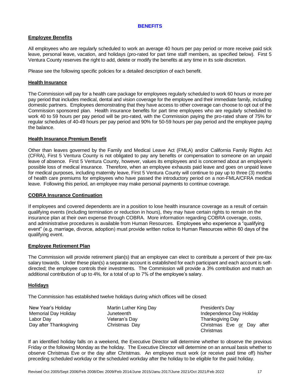#### **BENEFITS**

#### **Employee Benefits**

All employees who are regularly scheduled to work an average 40 hours per pay period or more receive paid sick leave, personal leave, vacation, and holidays (pro-rated for part time staff members, as specified below). First 5 Ventura County reserves the right to add, delete or modify the benefits at any time in its sole discretion.

Please see the following specific policies for a detailed description of each benefit.

#### **Health Insurance**

The Commission will pay for a health care package for employees regularly scheduled to work 60 hours or more per pay period that includes medical, dental and vision coverage for the employee and their immediate family, including domestic partners. Employees demonstrating that they have access to other coverage can choose to opt out of the Commission sponsored plan. Health insurance benefits for part time employees who are regularly scheduled to work 40 to 59 hours per pay period will be pro-rated, with the Commission paying the pro-rated share of 75% for regular schedules of 40-49 hours per pay period and 90% for 50-59 hours per pay period and the employee paying the balance.

## **Health Insurance Premium Benefit**

Other than leaves governed by the Family and Medical Leave Act (FMLA) and/or California Family Rights Act (CFRA), First 5 Ventura County is not obligated to pay any benefits or compensation to someone on an unpaid leave of absence. First 5 Ventura County, however, values its employees and is concerned about an employee's possible loss of medical insurance. Therefore, when an employee exhausts paid leave and goes on unpaid leave for medical purposes, including maternity leave, First 5 Ventura County will continue to pay up to three (3) months of health care premiums for employees who have passed the introductory period on a non-FMLA/CFRA medical leave. Following this period, an employee may make personal payments to continue coverage.

#### **COBRA Insurance Continuation**

If employees and covered dependents are in a position to lose health insurance coverage as a result of certain qualifying events (including termination or reduction in hours), they may have certain rights to remain on the insurance plan at their own expense through COBRA. More information regarding COBRA coverage, costs, and administrative procedures is available from Human Resources. Employees who experience a "qualifying event" (e.g. marriage, divorce, adoption) must provide written notice to Human Resources within 60 days of the qualifying event.

#### **Employee Retirement Plan**

The Commission will provide retirement plan(s) that an employee can elect to contribute a percent of their pre-tax salary towards. Under these plan(s) a separate account is established for each participant and each account is selfdirected; the employee controls their investments. The Commission will provide a 3% contribution and match an additional contribution of up to 4%, for a total of up to 7% of the employee's salary.

#### **Holidays**

The Commission has established twelve holidays during which offices will be closed:

New Year's Holiday **Martin Luther King Day** President's Day<br>Memorial Day Holiday **Munteenth** Juneteenth Labor Day Veteran's Day Thanksgiving Day

Independence Day Holiday Day after Thanksgiving Christmas Day Christmas Christmas Eve or Day after Christmas

If an identified holiday falls on a weekend, the Executive Director will determine whether to observe the previous Friday or the following Monday as the holiday. The Executive Director will determine on an annual basis whether to observe Christmas Eve or the day after Christmas. An employee must work (or receive paid time off) his/her preceding scheduled workday or the scheduled workday after the holiday to be eligible for the paid holiday.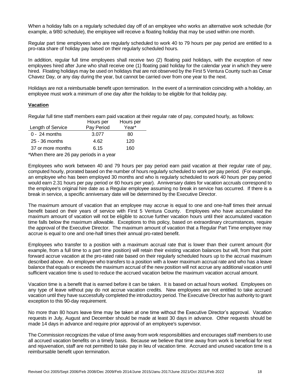When a holiday falls on a regularly scheduled day off of an employee who works an alternative work schedule (for example, a 9/80 schedule), the employee will receive a floating holiday that may be used within one month.

Regular part time employees who are regularly scheduled to work 40 to 79 hours per pay period are entitled to a pro-rata share of holiday pay based on their regularly scheduled hours.

In addition, regular full time employees shall receive two (2) floating paid holidays, with the exception of new employees hired after June who shall receive one (1) floating paid holiday for the calendar year in which they were hired. Floating holidays may be used on holidays that are not observed by the First 5 Ventura County such as Cesar Chavez Day, or any day during the year, but cannot be carried over from one year to the next.

Holidays are not a reimbursable benefit upon termination. In the event of a termination coinciding with a holiday, an employee must work a minimum of one day after the holiday to be eligible for that holiday pay.

#### **Vacation**

Regular full time staff members earn paid vacation at their regular rate of pay, computed hourly, as follows:

|                   | Hours per  | Hours per |
|-------------------|------------|-----------|
| Length of Service | Pay Period | Year*     |
| $0 - 24$ months   | 3.077      | 80        |
| 25 - 36 months    | 4.62       | 120       |
| 37 or more months | 6.15       | 160       |
| $+1$              |            |           |

\*When there are 26 pay periods in a year

Employees who work between 40 and 79 hours per pay period earn paid vacation at their regular rate of pay, computed hourly, prorated based on the number of hours regularly scheduled to work per pay period. (For example, an employee who has been employed 30 months and who is regularly scheduled to work 40 hours per pay period would earn 2.31 hours per pay period or 60 hours per year). Anniversary dates for vacation accruals correspond to the employee's original hire date as a Regular employee assuming no break in service has occurred. If there is a break in service, a specific anniversary date will be determined by the Executive Director.

The maximum amount of vacation that an employee may accrue is equal to one and one-half times their annual benefit based on their years of service with First 5 Ventura County. Employees who have accumulated the maximum amount of vacation will not be eligible to accrue further vacation hours until their accumulated vacation time falls below the maximum allowable. Exceptions to this policy, based on extraordinary circumstances, require the approval of the Executive Director. The maximum amount of vacation that a Regular Part Time employee may accrue is equal to one and one-half times their annual pro-rated benefit.

Employees who transfer to a position with a maximum accrual rate that is lower than their current amount (for example, from a full time to a part time position) will retain their existing vacation balances but will, from that point forward accrue vacation at the pro-rated rate based on their regularly scheduled hours up to the accrual maximum described above. An employee who transfers to a position with a lower maximum accrual rate and who has a leave balance that equals or exceeds the maximum accrual of the new position will not accrue any additional vacation until sufficient vacation time is used to reduce the accrued vacation below the maximum vacation accrual amount.

Vacation time is a benefit that is earned before it can be taken. It is based on actual hours worked. Employees on any type of leave without pay do not accrue vacation credits. New employees are not entitled to take accrued vacation until they have successfully completed the introductory period. The Executive Director has authority to grant exception to this 90-day requirement.

No more than 80 hours leave time may be taken at one time without the Executive Director's approval. Vacation requests in July, August and December should be made at least 30 days in advance. Other requests should be made 14 days in advance and require prior approval of an employee's supervisor.

The Commission recognizes the value of time away from work responsibilities and encourages staff members to use all accrued vacation benefits on a timely basis. Because we believe that time away from work is beneficial for rest and rejuvenation, staff are not permitted to take pay in lieu of vacation time. Accrued and unused vacation time is a reimbursable benefit upon termination.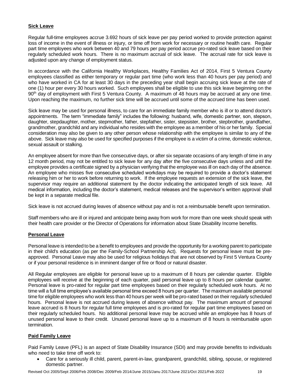# **Sick Leave**

Regular full-time employees accrue 3.692 hours of sick leave per pay period worked to provide protection against loss of income in the event of illness or injury, or time off from work for necessary or routine health care. Regular part time employees who work between 40 and 79 hours per pay period accrue pro-rated sick leave based on their regularly scheduled work hours. There is no maximum accrual of sick leave. The accrual rate for sick leave is adjusted upon any change of employment status.

In accordance with the California Healthy Workplaces, Healthy Families Act of 2014, First 5 Ventura County employees classified as either temporary or regular part time (who work less than 40 hours per pay period) and who have worked in CA for at least 30 days in the preceding year shall begin accruing sick leave at the rate of one (1) hour per every 30 hours worked. Such employees shall be eligible to use this sick leave beginning on the 90<sup>th</sup> day of employment with First 5 Ventura County. A maximum of 48 hours may be accrued at any one time. Upon reaching the maximum, no further sick time will be accrued until some of the accrued time has been used.

Sick leave may be used for personal illness, to care for an immediate family member who is ill or to attend doctor's appointments. The term "immediate family" includes the following: husband, wife, domestic partner, son, stepson, daughter, stepdaughter, mother, stepmother, father, stepfather, sister, stepsister, brother, stepbrother, grandfather, grandmother, grandchild and any individual who resides with the employee as a member of his or her family. Special consideration may also be given to any other person whose relationship with the employee is similar to any of the above. Sick leave may also be used for specified purposes if the employee is a victim of a crime, domestic violence, sexual assault or stalking.

An employee absent for more than five consecutive days, or after six separate occasions of any length of time in any 12 month period, may not be entitled to sick leave for any day after the five consecutive days unless and until the employee provides a certificate signed by a physician verifying that the employee was ill on each day of the absence. An employee who misses five consecutive scheduled workdays may be required to provide a doctor's statement releasing him or her to work before returning to work. If the employee requests an extension of the sick leave, the supervisor may require an additional statement by the doctor indicating the anticipated length of sick leave. All medical information, including the doctor's statement, medical releases and the supervisor's written approval shall be kept in a separate medical file.

Sick leave is not accrued during leaves of absence without pay and is not a reimbursable benefit upon termination.

Staff members who are ill or injured and anticipate being away from work for more than one week should speak with their health care provider or the Director of Operations for information about State Disability Income benefits.

#### **Personal Leave**

Personal leave is intended to be a benefit to employees and provide the opportunity for a working parent to participate in their child's education (as per the Family-School Partnership Act). Requests for personal leave must be preapproved. Personal Leave may also be used for religious holidays that are not observed by First 5 Ventura County or if your personal residence is in imminent danger of fire or flood or natural disaster.

All Regular employees are eligible for personal leave up to a maximum of 8 hours per calendar quarter. Eligible employees will receive at the beginning of each quarter, paid personal leave up to 8 hours per calendar quarter. Personal leave is pro-rated for regular part time employees based on their regularly scheduled work hours. At no time will a full time employee's available personal time exceed 8 hours per quarter. The maximum available personal time for eligible employees who work less than 40 hours per week will be pro-rated based on their regularly scheduled hours. Personal leave is not accrued during leaves of absence without pay. The maximum amount of personal leave accrued is 8 hours for regular full time employees and is pro-rated for regular part time employees based on their regularly scheduled hours. No additional personal leave may be accrued while an employee has 8 hours of unused personal leave to their credit. Unused personal leave up to a maximum of 8 hours is reimbursable upon termination.

#### **Paid Family Leave**

Paid Family Leave (PFL) is an aspect of State Disability Insurance (SDI) and may provide benefits to individuals who need to take time off work to:

• Care for a seriously ill child, parent, parent-in-law, grandparent, grandchild, sibling, spouse, or registered domestic partner.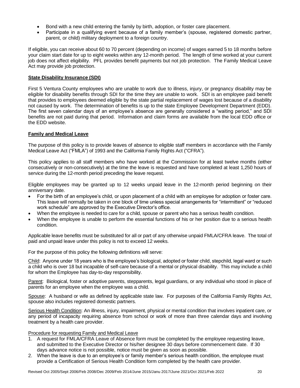- Bond with a new child entering the family by birth, adoption, or foster care placement.
- Participate in a qualifying event because of a family member's (spouse, registered domestic partner, parent, or child) military deployment to a foreign country.

If eligible, you can receive about 60 to 70 percent (depending on income) of wages earned 5 to 18 months before your claim start date for up to eight weeks within any 12-month period. The length of time worked at your current job does not affect eligibility. PFL provides benefit payments but not job protection. The Family Medical Leave Act may provide job protection.

# **State Disability Insurance (SDI)**

First 5 Ventura County employees who are unable to work due to illness, injury, or pregnancy disability may be eligible for disability benefits through SDI for the time they are unable to work. SDI is an employee paid benefit that provides to employees deemed eligible by the state partial replacement of wages lost because of a disability not caused by work. The determination of benefits is up to the state Employee Development Department (EDD). The first seven calendar days of an employee's absence are generally considered a "waiting period," and SDI benefits are not paid during that period. Information and claim forms are available from the local EDD office or the EDD website.

## **Family and Medical Leave**

The purpose of this policy is to provide leaves of absence to eligible staff members in accordance with the Family Medical Leave Act ("FMLA") of 1993 and the California Family Rights Act ("CFRA").

This policy applies to all staff members who have worked at the Commission for at least twelve months (either consecutively or non-consecutively) at the time the leave is requested and have completed at least 1,250 hours of service during the 12-month period preceding the leave request.

Eligible employees may be granted up to 12 weeks unpaid leave in the 12-month period beginning on their anniversary date.

- For the birth of an employee's child, or upon placement of a child with an employee for adoption or foster care. This leave will normally be taken in one block of time unless special arrangements for "intermittent" or "reduced work schedule" are approved by the Executive Director's office.
- When the employee is needed to care for a child, spouse or parent who has a serious health condition.
- When the employee is unable to perform the essential functions of his or her position due to a serious health condition.

Applicable leave benefits must be substituted for all or part of any otherwise unpaid FMLA/CFRA leave. The total of paid and unpaid leave under this policy is not to exceed 12 weeks.

For the purpose of this policy the following definitions will serve:

Child: Anyone under 18 years who is the employee's biological, adopted or foster child, stepchild, legal ward or such a child who is over 18 but incapable of self-care because of a mental or physical disability. This may include a child for whom the Employee has day-to-day responsibility.

Parent: Biological, foster or adoptive parents, stepparents, legal guardians, or any individual who stood in place of parents for an employee when the employee was a child.

Spouse: A husband or wife as defined by applicable state law. For purposes of the California Family Rights Act, spouse also includes registered domestic partners.

Serious Health Condition: An illness, injury, impairment, physical or mental condition that involves inpatient care, or any period of incapacity requiring absence from school or work of more than three calendar days and involving treatment by a health care provider.

#### Procedure for requesting Family and Medical Leave

- 1. A request for FMLA/CFRA Leave of Absence form must be completed by the employee requesting leave, and submitted to the Executive Director or his/her designee 30 days before commencement date. If 30 days advance notice is not possible, notice must be given as soon as possible.
- 2. When the leave is due to an employee's or family member's serious health condition, the employee must provide a Certification of Serious Health Condition form completed by the health care provider.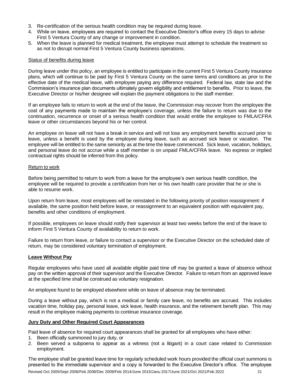- 3. Re-certification of the serious health condition may be required during leave.
- 4. While on leave, employees are required to contact the Executive Director's office every 15 days to advise First 5 Ventura County of any change or improvement in condition.
- 5. When the leave is planned for medical treatment, the employee must attempt to schedule the treatment so as not to disrupt normal First 5 Ventura County business operations.

#### Status of benefits during leave

During leave under this policy, an employee is entitled to participate in the current First 5 Ventura County insurance plans, which will continue to be paid by First 5 Ventura County on the same terms and conditions as prior to the effective date of the medical leave, with employee paying any difference required. Federal law, state law and the Commission's insurance plan documents ultimately govern eligibility and entitlement to benefits. Prior to leave, the Executive Director or his/her designee will explain the payment obligations to the staff member.

If an employee fails to return to work at the end of the leave, the Commission may recover from the employee the cost of any payments made to maintain the employee's coverage, unless the failure to return was due to the continuation, recurrence or onset of a serious health condition that would entitle the employee to FMLA/CFRA leave or other circumstances beyond his or her control.

An employee on leave will not have a break in service and will not lose any employment benefits accrued prior to leave, unless a benefit is used by the employee during leave, such as accrued sick leave or vacation. The employee will be entitled to the same seniority as at the time the leave commenced. Sick leave, vacation, holidays, and personal leave do not accrue while a staff member is on unpaid FMLA/CFRA leave. No express or implied contractual rights should be inferred from this policy.

#### Return to work

Before being permitted to return to work from a leave for the employee's own serious health condition, the employee will be required to provide a certification from her or his own health care provider that he or she is able to resume work.

Upon return from leave, most employees will be reinstated in the following priority of position reassignment: if available, the same position held before leave, or reassignment to an equivalent position with equivalent pay, benefits and other conditions of employment.

If possible, employees on leave should notify their supervisor at least two weeks before the end of the leave to inform First 5 Ventura County of availability to return to work.

Failure to return from leave, or failure to contact a supervisor or the Executive Director on the scheduled date of return, may be considered voluntary termination of employment.

#### **Leave Without Pay**

Regular employees who have used all available eligible paid time off may be granted a leave of absence without pay on the written approval of their supervisor and the Executive Director. Failure to return from an approved leave at the specified time shall be construed as voluntary resignation.

An employee found to be employed elsewhere while on leave of absence may be terminated.

During a leave without pay, which is not a medical or family care leave, no benefits are accrued. This includes vacation time, holiday pay, personal leave, sick leave, health insurance, and the retirement benefit plan. This may result in the employee making payments to continue insurance coverage.

#### **Jury Duty and Other Required Court Appearances**

Paid leave of absence for required court appearances shall be granted for all employees who have either:

- 1. Been officially summoned to jury duty, or
- 2. Been served a subpoena to appear as a witness (not a litigant) in a court case related to Commission employment.

The employee shall be granted leave time for regularly scheduled work hours provided the official court summons is presented to the immediate supervisor and a copy is forwarded to the Executive Director's office. The employee

Revised Oct 2005/Sept 2006/Feb 2008/Dec 2009/Feb 2014/June 2015/Janu 2017/June 2021/Oct 2021/Feb 2022 21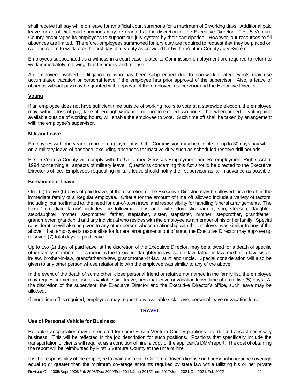shall receive full pay while on leave for an official court summons for a maximum of 5 working days. Additional paid leave for an official court summons may be granted at the discretion of the Executive Director. First 5 Ventura County encourages its employees to support our jury system by their participation. However, our resources to fill absences are limited. Therefore, employees summoned for jury duty are required to request that they be placed on call and return to work after the first day of jury duty as provided for by the Ventura County Jury System.

Employees subpoenaed as a witness in a court case related to Commission employment are required to return to work immediately following their testimony and release.

An employee involved in litigation or who has been subpoenaed due to non-work related events may use accumulated vacation or personal leave if the employee has prior approval of the supervisor. Also, a leave of absence without pay may be granted with approval of the employee's supervisor and the Executive Director.

#### **Voting**

If an employee does not have sufficient time outside of working hours to vote at a statewide election, the employee may, without loss of pay, take off enough working time, not to exceed two hours, that when added to voting time available outside of working hours, will enable the employee to vote. Such time off shall be taken by arrangement with the employee's supervisor.

#### **Military Leave**

Employees with one year or more of employment with the Commission may be eligible for up to 30 days pay while on a military leave of absence, excluding absences for inactive duty such as scheduled reserve drill periods.

First 5 Ventura County will comply with the Uniformed Services Employment and Re-employment Rights Act of 1994 concerning all aspects of military leave. Questions concerning this Act should be directed to the Executive Director's office. Employees requesting military leave should notify their supervisor as far in advance as possible.

#### **Bereavement Leave**

One (1) to five (5) days of paid leave, at the discretion of the Executive Director, may be allowed for a death in the immediate family of a Regular employee. Criteria for the amount of time off allowed include a variety of factors, including, but not limited to, the need for out-of-town travel and responsibility for handling funeral arrangements. The term "immediate family" includes the following: husband, wife, domestic partner, son, stepson, daughter, stepdaughter, mother, stepmother, father, stepfather, sister, stepsister, brother, stepbrother, grandfather, grandmother, grandchild and any individual who resides with the employee as a member of his or her family. Special consideration will also be given to any other person whose relationship with the employee was similar to any of the above. If an employee is responsible for funeral arrangements out of state, the Executive Director may approve up to seven (7) total days of paid leave.

Up to two (2) days of paid leave, at the discretion of the Executive Director, may be allowed for a death of specific other family members. This includes the following: daughter-in-law, son-in-law, father-in-law, mother-in-law, sisterin-law, brother-in-law, grandfather-in-law, grandmother-in-law, aunt and uncle. Special consideration will also be given to any other person whose relationship with the employee was similar to any of the above.

In the event of the death of some other, close personal friend or relative not named in the family list, the employee may request immediate use of available sick leave, personal leave or vacation leave time of up to five (5) days. At the discretion of the supervisor, the Executive Director and the Executive Director's office, such leave may be allowed.

If more time off is required, employees may request any available sick leave, personal leave or vacation leave.

#### **TRAVEL**

#### **Use of Personal Vehicle for Business**

Reliable transportation may be required for some First 5 Ventura County positions in order to transact necessary business. This will be reflected in the job description for such positions. Positions that specifically include the transportation of clients will require, as a condition of hire, a copy of the applicant's DMV report. The cost of obtaining the report will be reimbursed by First 5 Ventura County at the time of hire.

It is the responsibility of the employee to maintain a valid California driver's license and personal insurance coverage equal to or greater than the minimum coverage amounts required by state law while utilizing his or her private

Revised Oct 2005/Sept 2006/Feb 2008/Dec 2009/Feb 2014/June 2015/Janu 2017/June 2021/Oct 2021/Feb 2022 22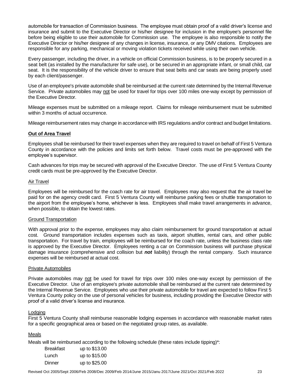automobile for transaction of Commission business. The employee must obtain proof of a valid driver's license and insurance and submit to the Executive Director or his/her designee for inclusion in the employee's personnel file before being eligible to use their automobile for Commission use. The employee is also responsible to notify the Executive Director or his/her designee of any changes in license, insurance, or any DMV citations. Employees are responsible for any parking, mechanical or moving violation tickets received while using their own vehicle.

Every passenger, including the driver, in a vehicle on official Commission business, is to be properly secured in a seat belt (as installed by the manufacturer for safe use), or be secured in an appropriate infant, or small child, car seat. It is the responsibility of the vehicle driver to ensure that seat belts and car seats are being properly used by each client/passenger.

Use of an employee's private automobile shall be reimbursed at the current rate determined by the Internal Revenue Service. Private automobiles may not be used for travel for trips over 100 miles one-way except by permission of the Executive Director.

Mileage expenses must be submitted on a mileage report. Claims for mileage reimbursement must be submitted within 3 months of actual occurrence.

Mileage reimbursement rates may change in accordance with IRS regulations and/or contract and budget limitations.

## **Out of Area Travel**

Employees shall be reimbursed for their travel expenses when they are required to travel on behalf of First 5 Ventura County in accordance with the policies and limits set forth below. Travel costs must be pre-approved with the employee's supervisor.

Cash advances for trips may be secured with approval of the Executive Director. The use of First 5 Ventura County credit cards must be pre-approved by the Executive Director.

#### Air Travel

Employees will be reimbursed for the coach rate for air travel. Employees may also request that the air travel be paid for on the agency credit card. First 5 Ventura County will reimburse parking fees or shuttle transportation to the airport from the employee's home, whichever is less. Employees shall make travel arrangements in advance, when possible, to obtain the lowest rates.

#### Ground Transportation

With approval prior to the expense, employees may also claim reimbursement for ground transportation at actual cost. Ground transportation includes expenses such as taxis, airport shuttles, rental cars, and other public transportation. For travel by train, employees will be reimbursed for the coach rate, unless the business class rate is approved by the Executive Director. Employees renting a car on Commission business will purchase physical damage insurance (comprehensive and collision but *not* liability) through the rental company. Such insurance expenses will be reimbursed at actual cost.

#### Private Automobiles

Private automobiles may not be used for travel for trips over 100 miles one-way except by permission of the Executive Director. Use of an employee's private automobile shall be reimbursed at the current rate determined by the Internal Revenue Service. Employees who use their private automobile for travel are expected to follow First 5 Ventura County policy on the use of personal vehicles for business, including providing the Executive Director with proof of a valid driver's license and insurance.

#### Lodging

First 5 Ventura County shall reimburse reasonable lodging expenses in accordance with reasonable market rates for a specific geographical area or based on the negotiated group rates, as available.

#### Meals

Meals will be reimbursed according to the following schedule (these rates include tipping)\*:

| <b>Breakfast</b> | up to \$13.00 |
|------------------|---------------|
| Lunch            | up to \$15.00 |
| Dinner           | up to \$25.00 |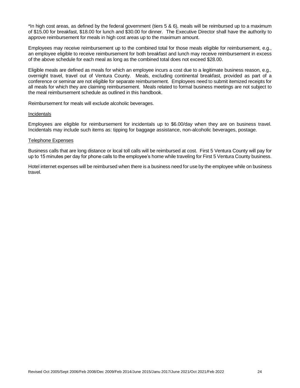\*In high cost areas, as defined by the federal government (tiers 5 & 6), meals will be reimbursed up to a maximum of \$15.00 for breakfast, \$18.00 for lunch and \$30.00 for dinner. The Executive Director shall have the authority to approve reimbursement for meals in high cost areas up to the maximum amount.

Employees may receive reimbursement up to the combined total for those meals eligible for reimbursement, e.g., an employee eligible to receive reimbursement for both breakfast and lunch may receive reimbursement in excess of the above schedule for each meal as long as the combined total does not exceed \$28.00.

Eligible meals are defined as meals for which an employee incurs a cost due to a legitimate business reason, e.g., overnight travel, travel out of Ventura County. Meals, excluding continental breakfast, provided as part of a conference or seminar are not eligible for separate reimbursement. Employees need to submit itemized receipts for all meals for which they are claiming reimbursement. Meals related to formal business meetings are not subject to the meal reimbursement schedule as outlined in this handbook.

Reimbursement for meals will exclude alcoholic beverages.

#### **Incidentals**

Employees are eligible for reimbursement for incidentals up to \$6.00/day when they are on business travel. Incidentals may include such items as: tipping for baggage assistance, non-alcoholic beverages, postage.

#### Telephone Expenses

Business calls that are long distance or local toll calls will be reimbursed at cost. First 5 Ventura County will pay for up to 15 minutes per day for phone calls to the employee's home while traveling for First 5 Ventura County business.

Hotel internet expenses will be reimbursed when there is a business need for use by the employee while on business travel.